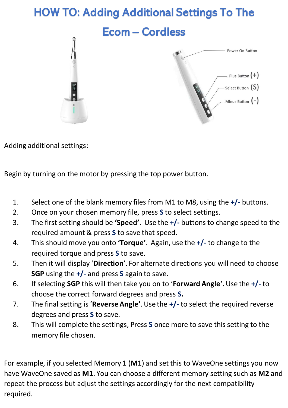## HOW TO: Adding Additional Settings To The

Ecom – Cordless



Adding additional settings:

Begin by turning on the motor by pressing the top power button.

- 1. Select one of the blank memory files from M1 to M8, using the **+/-** buttons.
- 2. Once on your chosen memory file, press **S** to select settings.
- 3. The first setting should be **'Speed'**. Use the **+/-** buttons to change speed to the required amount & press **S** to save that speed.
- 4. This should move you onto **'Torque'**. Again, use the **+/-** to change to the required torque and press **S** to save.
- 5. Then it will display '**Direction**'. For alternate directions you will need to choose **SGP** using the **+/-** and press **S** again to save.
- 6. If selecting **SGP** this will then take you on to '**Forward Angle'**.Use the **+/-** to choose the correct forward degrees and press **S.**
- 7. The final setting is '**Reverse Angle'**.Use the **+/-** to select the required reverse degrees and press **S** to save.
- 8. This will complete the settings, Press **S** once more to save this setting to the memory file chosen.

For example, if you selected Memory 1 (**M1**) and set this to WaveOne settings you now have WaveOne saved as **M1**. You can choose a different memory setting such as **M2** and repeat the process but adjust the settings accordingly for the next compatibility required.